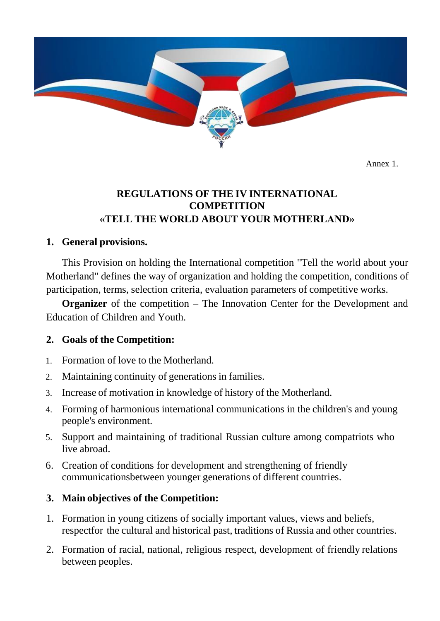

Annex 1.

### **REGULATIONS OF THE IV INTERNATIONAL COMPETITION «TELL THE WORLD ABOUT YOUR MOTHERLAND»**

#### **1. General provisions.**

This Provision on holding the International competition "Tell the world about your Motherland" defines the way of organization and holding the competition, conditions of participation, terms, selection criteria, evaluation parameters of competitive works.

**Organizer** of the competition – The Innovation Center for the Development and Education of Children and Youth.

### **2. Goals of the Competition:**

- 1. Formation of love to the Motherland.
- 2. Maintaining continuity of generations in families.
- 3. Increase of motivation in knowledge of history of the Motherland.
- 4. Forming of harmonious international communications in the children's and young people's environment.
- 5. Support and maintaining of traditional Russian culture among compatriots who live abroad.
- 6. Creation of conditions for development and strengthening of friendly communicationsbetween younger generations of different countries.

### **3. Main objectives of the Competition:**

- 1. Formation in young citizens of socially important values, views and beliefs, respectfor the cultural and historical past, traditions of Russia and other countries.
- 2. Formation of racial, national, religious respect, development of friendly relations between peoples.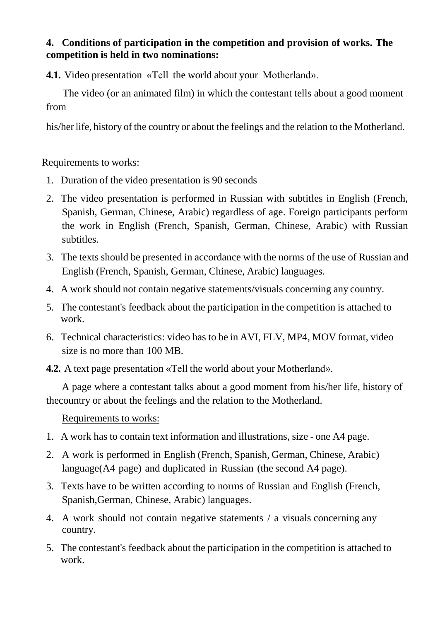### **4. Conditions of participation in the competition and provision of works. The competition is held in two nominations:**

**4.1.** Video presentation «Tell the world about your Motherland».

The video (or an animated film) in which the contestant tells about a good moment from

his/herlife, history of the country or about the feelings and the relation to the Motherland.

### Requirements to works:

- 1. Duration of the video presentation is 90 seconds
- 2. The video presentation is performed in Russian with subtitles in English (French, Spanish, German, Chinese, Arabic) regardless of age. Foreign participants perform the work in English (French, Spanish, German, Chinese, Arabic) with Russian subtitles.
- 3. The texts should be presented in accordance with the norms of the use of Russian and English (French, Spanish, German, Chinese, Arabic) languages.
- 4. A work should not contain negative statements/visuals concerning any country.
- 5. The contestant's feedback about the participation in the competition is attached to work.
- 6. Technical characteristics: video has to be in AVI, FLV, MP4, MOV format, video size is no more than 100 MB.

**4.2.** A text page presentation «Tell the world about your Motherland».

A page where a contestant talks about a good moment from his/her life, history of thecountry or about the feelings and the relation to the Motherland.

## Requirements to works:

- 1. A work has to contain text information and illustrations, size one A4 page.
- 2. A work is performed in English (French, Spanish, German, Chinese, Arabic) language(A4 page) and duplicated in Russian (the second A4 page).
- 3. Texts have to be written according to norms of Russian and English (French, Spanish,German, Chinese, Arabic) languages.
- 4. A work should not contain negative statements / a visuals concerning any country.
- 5. The contestant's feedback about the participation in the competition is attached to work.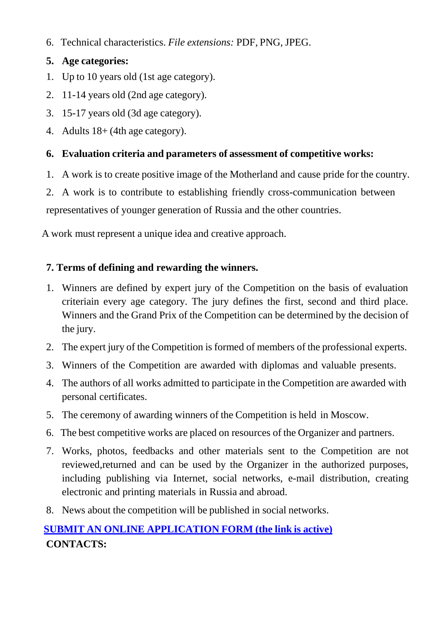6. Technical characteristics. *File extensions:* PDF, PNG, JPEG.

### **5. Age categories:**

- 1. Up to 10 years old (1st age category).
- 2. 11-14 years old (2nd age category).
- 3. 15-17 years old (3d age category).
- 4. Adults 18+ (4th age category).

## **6. Evaluation criteria and parameters of assessment of competitive works:**

1. A work is to create positive image of the Motherland and cause pride for the country.

2. A work is to contribute to establishing friendly cross-communication between representatives of younger generation of Russia and the other countries.

A work must represent a unique idea and creative approach.

## **7. Terms of defining and rewarding the winners.**

- 1. Winners are defined by expert jury of the Competition on the basis of evaluation criteriain every age category. The jury defines the first, second and third place. Winners and the Grand Prix of the Competition can be determined by the decision of the jury.
- 2. The expert jury of the Competition is formed of members of the professional experts.
- 3. Winners of the Competition are awarded with diplomas and valuable presents.
- 4. The authors of all works admitted to participate in the Competition are awarded with personal certificates.
- 5. The ceremony of awarding winners of the Competition is held in Moscow.
- 6. The best competitive works are placed on resources of the Organizer and partners.
- 7. Works, photos, feedbacks and other materials sent to the Competition are not reviewed,returned and can be used by the Organizer in the authorized purposes, including publishing via Internet, social networks, e-mail distribution, creating electronic and printing materials in Russia and abroad.
- 8. News about the competition will be published in social networks.

# **SUBMIT AN ONLINE [APPLICATION](https://forms.gle/jVrWmT7rKgV88uNV6) FORM (the link is active) CONTACTS:**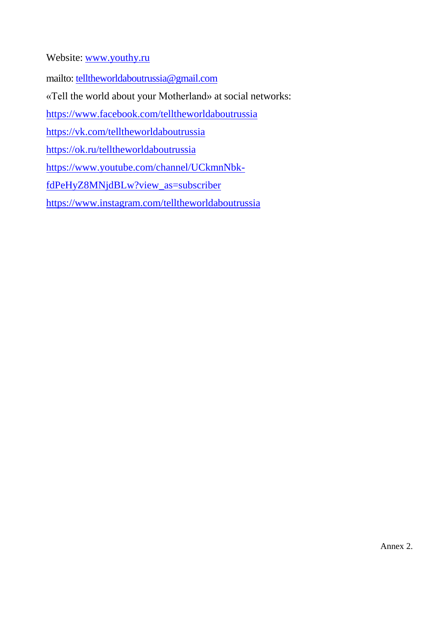Website: [www.youthy.ru](http://www.youthy.ru/)

mailto: [telltheworldaboutrussia@gmail.com](mailto:telltheworldaboutrussia@gmail.com)

«Tell the world about your Motherland» at social networks:

<https://www.facebook.com/telltheworldaboutrussia>

[https://vk.com/telltheworldaboutrussia](https://www.facebook.com/telltheworldaboutrussia)

<https://ok.ru/telltheworldaboutrussia>

[https://www.youtube.com/channel/UCkmnNbk-](https://www.youtube.com/channel/UCkmnNbk-fdPeHyZ8MNjdBLw?view_as=subscriber)

[fdPeHyZ8MNjdBLw?view\\_as=subscriber](https://www.youtube.com/channel/UCkmnNbk-fdPeHyZ8MNjdBLw?view_as=subscriber)

https:/[/www.instagram.com/telltheworldaboutrussia](http://www.instagram.com/telltheworldaboutrussia)